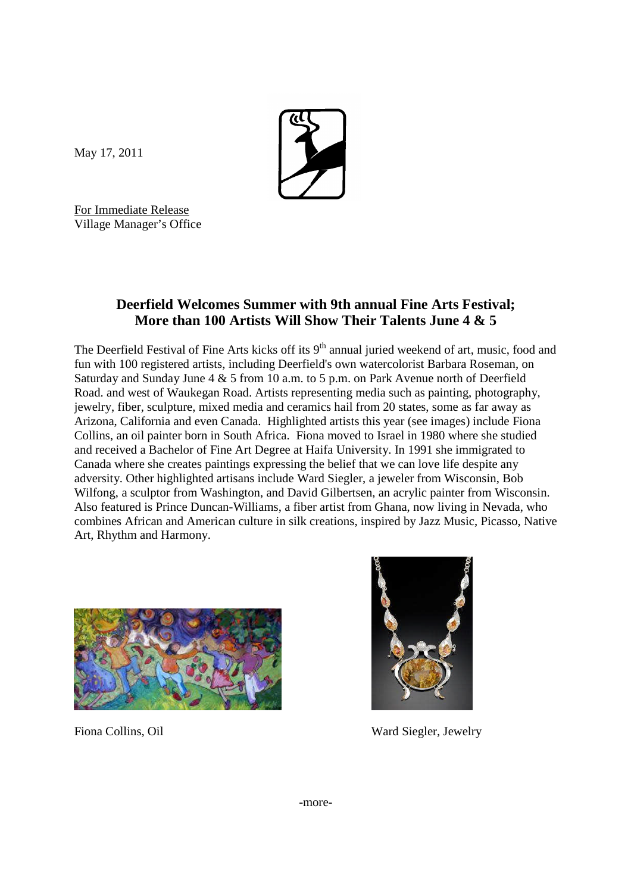

May 17, 2011

For Immediate Release Village Manager's Office

## **Deerfield Welcomes Summer with 9th annual Fine Arts Festival; More than 100 Artists Will Show Their Talents June 4 & 5**

The Deerfield Festival of Fine Arts kicks off its 9<sup>th</sup> annual juried weekend of art, music, food and fun with 100 registered artists, including Deerfield's own watercolorist Barbara Roseman, on Saturday and Sunday June 4 & 5 from 10 a.m. to 5 p.m. on Park Avenue north of Deerfield Road. and west of Waukegan Road. Artists representing media such as painting, photography, jewelry, fiber, sculpture, mixed media and ceramics hail from 20 states, some as far away as Arizona, California and even Canada. Highlighted artists this year (see images) include Fiona Collins, an oil painter born in South Africa. Fiona moved to Israel in 1980 where she studied and received a Bachelor of Fine Art Degree at Haifa University. In 1991 she immigrated to Canada where she creates paintings expressing the belief that we can love life despite any adversity. Other highlighted artisans include Ward Siegler, a jeweler from Wisconsin, Bob Wilfong, a sculptor from Washington, and David Gilbertsen, an acrylic painter from Wisconsin. Also featured is Prince Duncan-Williams, a fiber artist from Ghana, now living in Nevada, who combines African and American culture in silk creations, inspired by Jazz Music, Picasso, Native Art, Rhythm and Harmony.





Fiona Collins, Oil **Ward Siegler**, Jewelry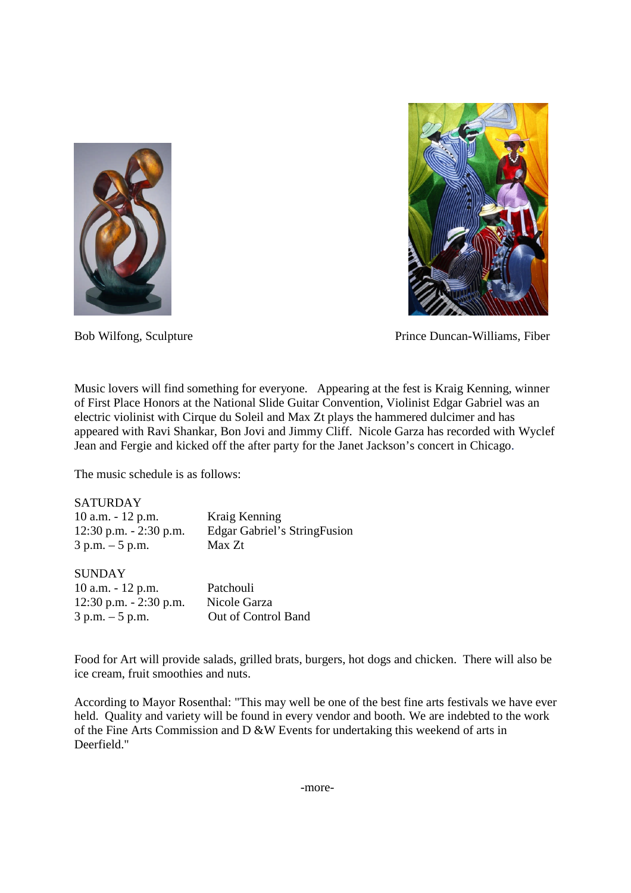



Bob Wilfong, Sculpture Prince Duncan-Williams, Fiber

Music lovers will find something for everyone. Appearing at the fest is Kraig Kenning, winner of First Place Honors at the National Slide Guitar Convention, Violinist Edgar Gabriel was an electric violinist with Cirque du Soleil and Max Zt plays the hammered dulcimer and has appeared with Ravi Shankar, Bon Jovi and Jimmy Cliff. Nicole Garza has recorded with Wyclef Jean and Fergie and kicked off the after party for the Janet Jackson's concert in Chicago.

The music schedule is as follows:

| <b>SATURDAY</b>           |                                               |
|---------------------------|-----------------------------------------------|
| $10$ a.m. $-12$ p.m.      | Kraig Kenning                                 |
| $12:30$ p.m. $-2:30$ p.m. | <b>Edgar Gabriel's StringFusion</b><br>Max Zt |
| $3 p.m. - 5 p.m.$         |                                               |
| <b>SUNDAY</b>             |                                               |
| $10$ a.m. $-12$ p.m.      | Patchouli                                     |
| 12:30 p.m. - 2:30 p.m.    | Nicole Garza                                  |

3 p.m. – 5 p.m. Out of Control Band

Food for Art will provide salads, grilled brats, burgers, hot dogs and chicken. There will also be ice cream, fruit smoothies and nuts.

According to Mayor Rosenthal: "This may well be one of the best fine arts festivals we have ever held. Quality and variety will be found in every vendor and booth. We are indebted to the work of the Fine Arts Commission and D &W Events for undertaking this weekend of arts in Deerfield."